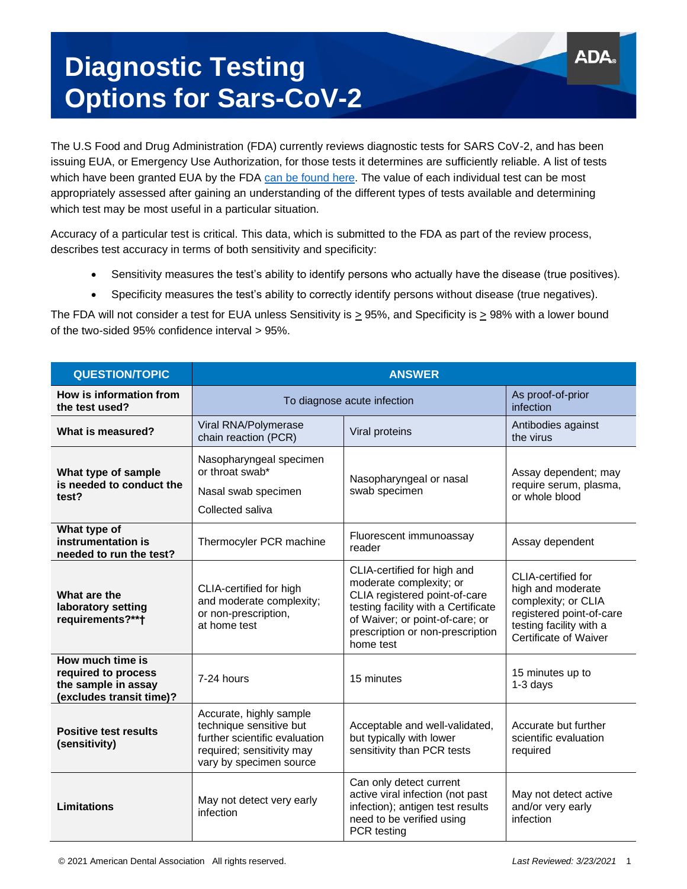## **Diagnostic Testing Options for Sars-CoV-2**

The U.S Food and Drug Administration (FDA) currently reviews diagnostic tests for SARS CoV-2, and has been issuing EUA, or Emergency Use Authorization, for those tests it determines are sufficiently reliable. A list of tests which have been granted EUA by the FDA [can be found here.](https://www.fda.gov/medical-devices/coronavirus-disease-2019-covid-19-emergency-use-authorizations-medical-devices/in-vitro-diagnostics-euas#individual-antigen) The value of each individual test can be most appropriately assessed after gaining an understanding of the different types of tests available and determining which test may be most useful in a particular situation.

Accuracy of a particular test is critical. This data, which is submitted to the FDA as part of the review process, describes test accuracy in terms of both sensitivity and specificity:

- Sensitivity measures the test's ability to identify persons who actually have the disease (true positives).
- Specificity measures the test's ability to correctly identify persons without disease (true negatives).

The FDA will not consider a test for EUA unless Sensitivity is  $\geq$  95%, and Specificity is  $\geq$  98% with a lower bound of the two-sided 95% confidence interval > 95%.

| <b>QUESTION/TOPIC</b>                                                                      | <b>ANSWER</b>                                                                                                                               |                                                                                                                                                                                                                    |                                                                                                                                                |
|--------------------------------------------------------------------------------------------|---------------------------------------------------------------------------------------------------------------------------------------------|--------------------------------------------------------------------------------------------------------------------------------------------------------------------------------------------------------------------|------------------------------------------------------------------------------------------------------------------------------------------------|
| How is information from<br>the test used?                                                  | To diagnose acute infection                                                                                                                 |                                                                                                                                                                                                                    | As proof-of-prior<br>infection                                                                                                                 |
| What is measured?                                                                          | Viral RNA/Polymerase<br>chain reaction (PCR)                                                                                                | Viral proteins                                                                                                                                                                                                     | Antibodies against<br>the virus                                                                                                                |
| What type of sample<br>is needed to conduct the<br>test?                                   | Nasopharyngeal specimen<br>or throat swab*<br>Nasal swab specimen<br>Collected saliva                                                       | Nasopharyngeal or nasal<br>swab specimen                                                                                                                                                                           | Assay dependent; may<br>require serum, plasma,<br>or whole blood                                                                               |
| What type of<br>instrumentation is<br>needed to run the test?                              | Thermocyler PCR machine                                                                                                                     | Fluorescent immunoassay<br>reader                                                                                                                                                                                  | Assay dependent                                                                                                                                |
| What are the<br>laboratory setting<br>requirements?**†                                     | CLIA-certified for high<br>and moderate complexity;<br>or non-prescription,<br>at home test                                                 | CLIA-certified for high and<br>moderate complexity; or<br>CLIA registered point-of-care<br>testing facility with a Certificate<br>of Waiver; or point-of-care; or<br>prescription or non-prescription<br>home test | CLIA-certified for<br>high and moderate<br>complexity; or CLIA<br>registered point-of-care<br>testing facility with a<br>Certificate of Waiver |
| How much time is<br>required to process<br>the sample in assay<br>(excludes transit time)? | 7-24 hours                                                                                                                                  | 15 minutes                                                                                                                                                                                                         | 15 minutes up to<br>$1-3$ days                                                                                                                 |
| <b>Positive test results</b><br>(sensitivity)                                              | Accurate, highly sample<br>technique sensitive but<br>further scientific evaluation<br>required; sensitivity may<br>vary by specimen source | Acceptable and well-validated,<br>but typically with lower<br>sensitivity than PCR tests                                                                                                                           | Accurate but further<br>scientific evaluation<br>required                                                                                      |
| Limitations                                                                                | May not detect very early<br>infection                                                                                                      | Can only detect current<br>active viral infection (not past<br>infection); antigen test results<br>need to be verified using<br>PCR testing                                                                        | May not detect active<br>and/or very early<br>infection                                                                                        |

AD/